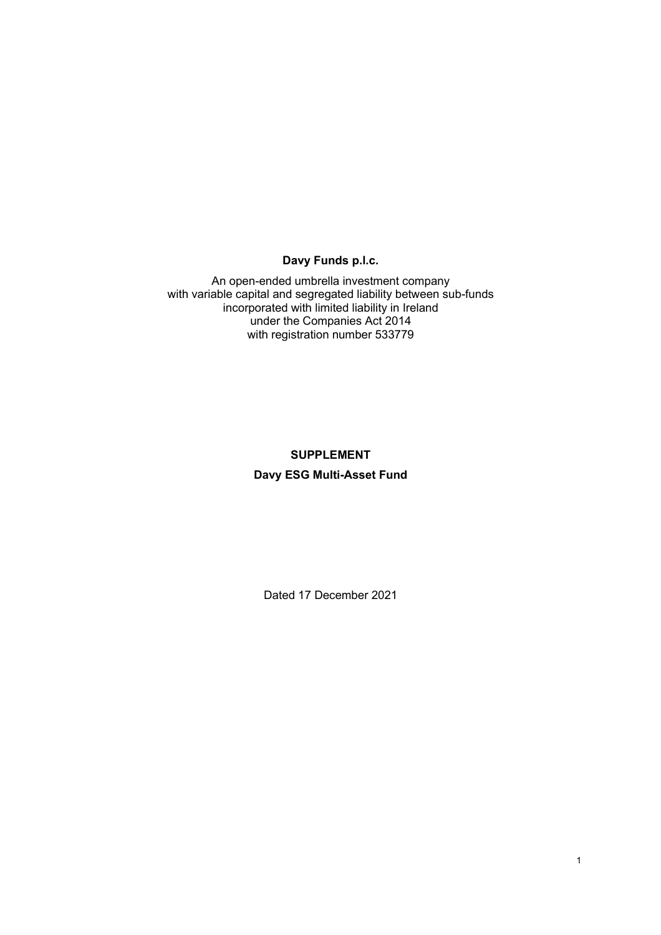# **Davy Funds p.l.c.**

An open-ended umbrella investment company with variable capital and segregated liability between sub-funds incorporated with limited liability in Ireland under the Companies Act 2014 with registration number 533779

# **SUPPLEMENT Davy ESG Multi-Asset Fund**

Dated 17 December 2021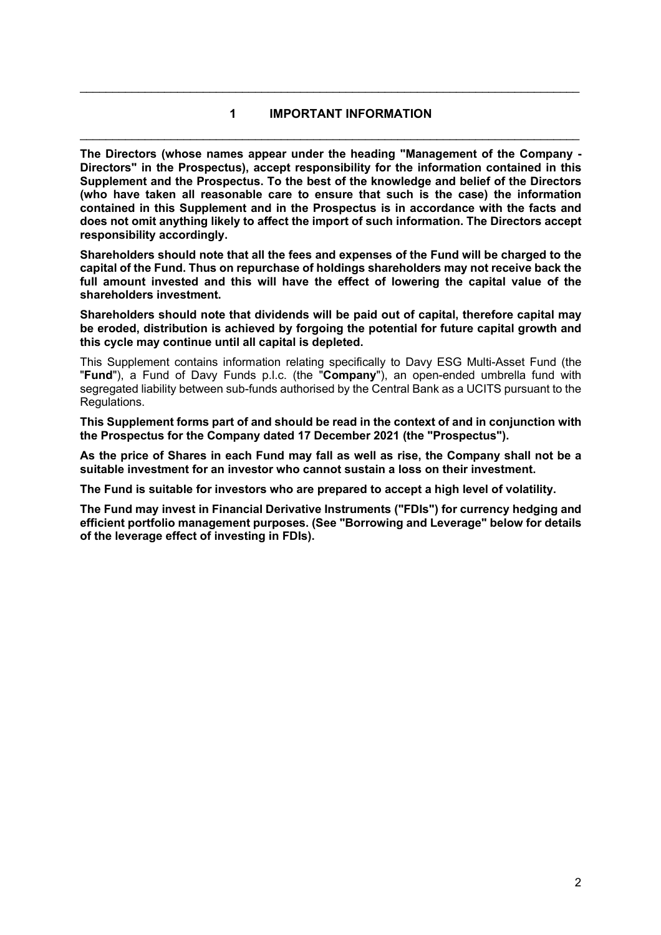# **1 IMPORTANT INFORMATION**  \_\_\_\_\_\_\_\_\_\_\_\_\_\_\_\_\_\_\_\_\_\_\_\_\_\_\_\_\_\_\_\_\_\_\_\_\_\_\_\_\_\_\_\_\_\_\_\_\_\_\_\_\_\_\_\_\_\_\_\_\_\_\_\_\_\_\_\_\_\_\_\_\_\_\_\_\_

\_\_\_\_\_\_\_\_\_\_\_\_\_\_\_\_\_\_\_\_\_\_\_\_\_\_\_\_\_\_\_\_\_\_\_\_\_\_\_\_\_\_\_\_\_\_\_\_\_\_\_\_\_\_\_\_\_\_\_\_\_\_\_\_\_\_\_\_\_\_\_\_\_\_\_\_\_

**The Directors (whose names appear under the heading "Management of the Company - Directors" in the Prospectus), accept responsibility for the information contained in this Supplement and the Prospectus. To the best of the knowledge and belief of the Directors (who have taken all reasonable care to ensure that such is the case) the information contained in this Supplement and in the Prospectus is in accordance with the facts and does not omit anything likely to affect the import of such information. The Directors accept responsibility accordingly.** 

**Shareholders should note that all the fees and expenses of the Fund will be charged to the capital of the Fund. Thus on repurchase of holdings shareholders may not receive back the full amount invested and this will have the effect of lowering the capital value of the shareholders investment.** 

**Shareholders should note that dividends will be paid out of capital, therefore capital may be eroded, distribution is achieved by forgoing the potential for future capital growth and this cycle may continue until all capital is depleted.** 

This Supplement contains information relating specifically to Davy ESG Multi-Asset Fund (the "**Fund**"), a Fund of Davy Funds p.l.c. (the "**Company**"), an open-ended umbrella fund with segregated liability between sub-funds authorised by the Central Bank as a UCITS pursuant to the Regulations.

**This Supplement forms part of and should be read in the context of and in conjunction with the Prospectus for the Company dated 17 December 2021 (the "Prospectus").** 

**As the price of Shares in each Fund may fall as well as rise, the Company shall not be a suitable investment for an investor who cannot sustain a loss on their investment.** 

**The Fund is suitable for investors who are prepared to accept a high level of volatility.** 

**The Fund may invest in Financial Derivative Instruments ("FDIs") for currency hedging and efficient portfolio management purposes. (See "Borrowing and Leverage" below for details of the leverage effect of investing in FDIs).**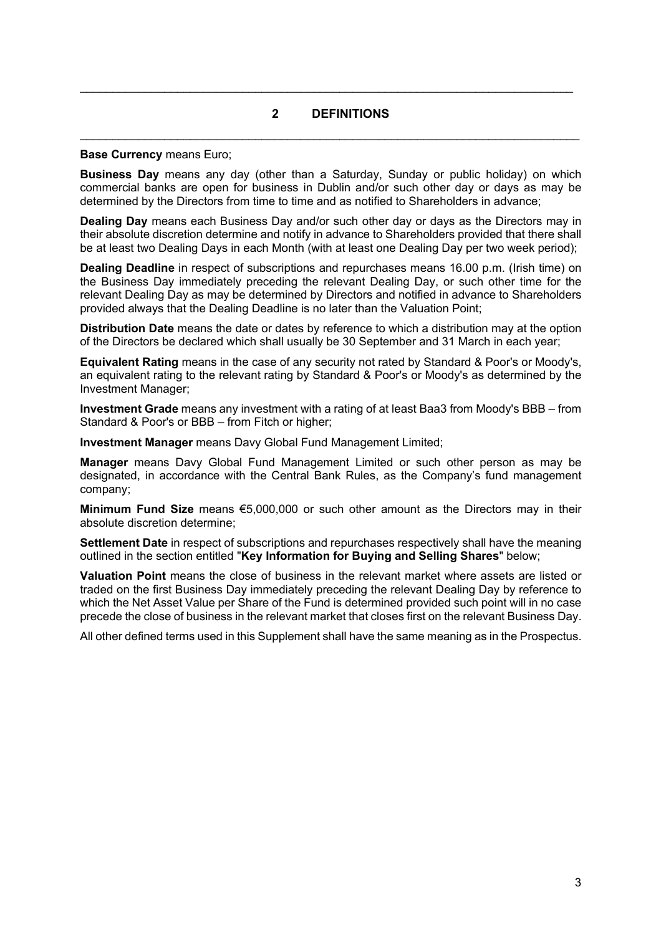# **2 DEFINITIONS**  \_\_\_\_\_\_\_\_\_\_\_\_\_\_\_\_\_\_\_\_\_\_\_\_\_\_\_\_\_\_\_\_\_\_\_\_\_\_\_\_\_\_\_\_\_\_\_\_\_\_\_\_\_\_\_\_\_\_\_\_\_\_\_\_\_\_\_\_\_\_\_\_\_\_\_\_\_

 $\mathcal{L}_\mathcal{L} = \mathcal{L}_\mathcal{L} = \mathcal{L}_\mathcal{L} = \mathcal{L}_\mathcal{L} = \mathcal{L}_\mathcal{L} = \mathcal{L}_\mathcal{L} = \mathcal{L}_\mathcal{L} = \mathcal{L}_\mathcal{L} = \mathcal{L}_\mathcal{L} = \mathcal{L}_\mathcal{L} = \mathcal{L}_\mathcal{L} = \mathcal{L}_\mathcal{L} = \mathcal{L}_\mathcal{L} = \mathcal{L}_\mathcal{L} = \mathcal{L}_\mathcal{L} = \mathcal{L}_\mathcal{L} = \mathcal{L}_\mathcal{L}$ 

#### **Base Currency** means Euro;

**Business Day** means any day (other than a Saturday, Sunday or public holiday) on which commercial banks are open for business in Dublin and/or such other day or days as may be determined by the Directors from time to time and as notified to Shareholders in advance;

**Dealing Day** means each Business Day and/or such other day or days as the Directors may in their absolute discretion determine and notify in advance to Shareholders provided that there shall be at least two Dealing Days in each Month (with at least one Dealing Day per two week period);

**Dealing Deadline** in respect of subscriptions and repurchases means 16.00 p.m. (Irish time) on the Business Day immediately preceding the relevant Dealing Day, or such other time for the relevant Dealing Day as may be determined by Directors and notified in advance to Shareholders provided always that the Dealing Deadline is no later than the Valuation Point;

**Distribution Date** means the date or dates by reference to which a distribution may at the option of the Directors be declared which shall usually be 30 September and 31 March in each year;

**Equivalent Rating** means in the case of any security not rated by Standard & Poor's or Moody's, an equivalent rating to the relevant rating by Standard & Poor's or Moody's as determined by the Investment Manager;

**Investment Grade** means any investment with a rating of at least Baa3 from Moody's BBB – from Standard & Poor's or BBB – from Fitch or higher;

**Investment Manager** means Davy Global Fund Management Limited;

**Manager** means Davy Global Fund Management Limited or such other person as may be designated, in accordance with the Central Bank Rules, as the Company's fund management company;

**Minimum Fund Size** means €5,000,000 or such other amount as the Directors may in their absolute discretion determine;

**Settlement Date** in respect of subscriptions and repurchases respectively shall have the meaning outlined in the section entitled "**Key Information for Buying and Selling Shares**" below;

**Valuation Point** means the close of business in the relevant market where assets are listed or traded on the first Business Day immediately preceding the relevant Dealing Day by reference to which the Net Asset Value per Share of the Fund is determined provided such point will in no case precede the close of business in the relevant market that closes first on the relevant Business Day.

All other defined terms used in this Supplement shall have the same meaning as in the Prospectus.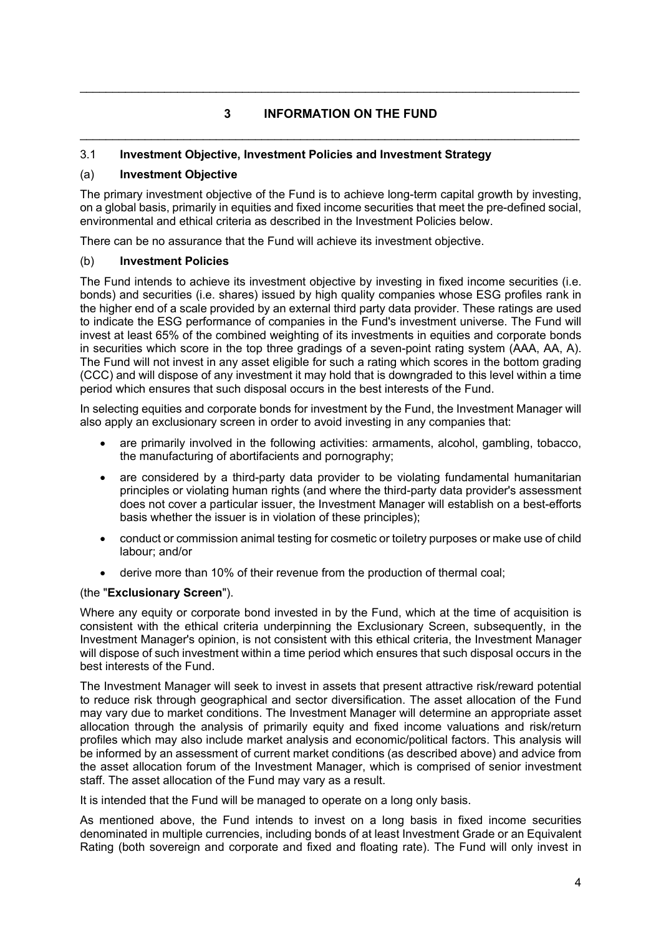# **3 INFORMATION ON THE FUND**  \_\_\_\_\_\_\_\_\_\_\_\_\_\_\_\_\_\_\_\_\_\_\_\_\_\_\_\_\_\_\_\_\_\_\_\_\_\_\_\_\_\_\_\_\_\_\_\_\_\_\_\_\_\_\_\_\_\_\_\_\_\_\_\_\_\_\_\_\_\_\_\_\_\_\_\_\_

\_\_\_\_\_\_\_\_\_\_\_\_\_\_\_\_\_\_\_\_\_\_\_\_\_\_\_\_\_\_\_\_\_\_\_\_\_\_\_\_\_\_\_\_\_\_\_\_\_\_\_\_\_\_\_\_\_\_\_\_\_\_\_\_\_\_\_\_\_\_\_\_\_\_\_\_\_

# 3.1 **Investment Objective, Investment Policies and Investment Strategy**

# (a) **Investment Objective**

The primary investment objective of the Fund is to achieve long-term capital growth by investing, on a global basis, primarily in equities and fixed income securities that meet the pre-defined social, environmental and ethical criteria as described in the Investment Policies below.

There can be no assurance that the Fund will achieve its investment objective.

## (b) **Investment Policies**

The Fund intends to achieve its investment objective by investing in fixed income securities (i.e. bonds) and securities (i.e. shares) issued by high quality companies whose ESG profiles rank in the higher end of a scale provided by an external third party data provider. These ratings are used to indicate the ESG performance of companies in the Fund's investment universe. The Fund will invest at least 65% of the combined weighting of its investments in equities and corporate bonds in securities which score in the top three gradings of a seven-point rating system (AAA, AA, A). The Fund will not invest in any asset eligible for such a rating which scores in the bottom grading (CCC) and will dispose of any investment it may hold that is downgraded to this level within a time period which ensures that such disposal occurs in the best interests of the Fund.

In selecting equities and corporate bonds for investment by the Fund, the Investment Manager will also apply an exclusionary screen in order to avoid investing in any companies that:

- are primarily involved in the following activities: armaments, alcohol, gambling, tobacco, the manufacturing of abortifacients and pornography;
- are considered by a third-party data provider to be violating fundamental humanitarian principles or violating human rights (and where the third-party data provider's assessment does not cover a particular issuer, the Investment Manager will establish on a best-efforts basis whether the issuer is in violation of these principles);
- conduct or commission animal testing for cosmetic or toiletry purposes or make use of child labour; and/or
- derive more than 10% of their revenue from the production of thermal coal;

# (the "**Exclusionary Screen**").

Where any equity or corporate bond invested in by the Fund, which at the time of acquisition is consistent with the ethical criteria underpinning the Exclusionary Screen, subsequently, in the Investment Manager's opinion, is not consistent with this ethical criteria, the Investment Manager will dispose of such investment within a time period which ensures that such disposal occurs in the best interests of the Fund.

The Investment Manager will seek to invest in assets that present attractive risk/reward potential to reduce risk through geographical and sector diversification. The asset allocation of the Fund may vary due to market conditions. The Investment Manager will determine an appropriate asset allocation through the analysis of primarily equity and fixed income valuations and risk/return profiles which may also include market analysis and economic/political factors. This analysis will be informed by an assessment of current market conditions (as described above) and advice from the asset allocation forum of the Investment Manager, which is comprised of senior investment staff. The asset allocation of the Fund may vary as a result.

It is intended that the Fund will be managed to operate on a long only basis.

As mentioned above, the Fund intends to invest on a long basis in fixed income securities denominated in multiple currencies, including bonds of at least Investment Grade or an Equivalent Rating (both sovereign and corporate and fixed and floating rate). The Fund will only invest in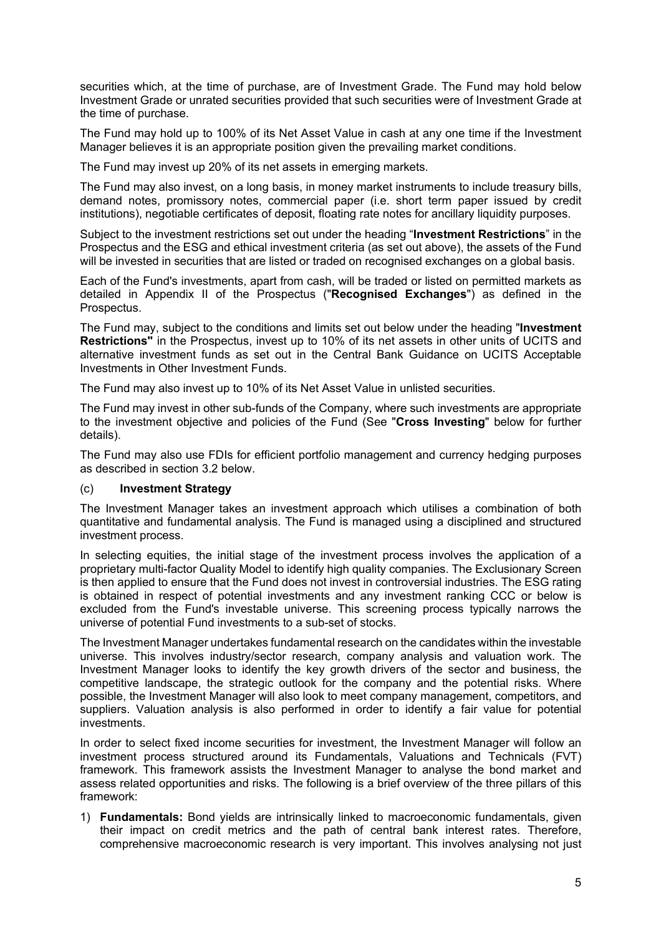securities which, at the time of purchase, are of Investment Grade. The Fund may hold below Investment Grade or unrated securities provided that such securities were of Investment Grade at the time of purchase.

The Fund may hold up to 100% of its Net Asset Value in cash at any one time if the Investment Manager believes it is an appropriate position given the prevailing market conditions.

The Fund may invest up 20% of its net assets in emerging markets.

The Fund may also invest, on a long basis, in money market instruments to include treasury bills, demand notes, promissory notes, commercial paper (i.e. short term paper issued by credit institutions), negotiable certificates of deposit, floating rate notes for ancillary liquidity purposes.

Subject to the investment restrictions set out under the heading "**Investment Restrictions**" in the Prospectus and the ESG and ethical investment criteria (as set out above), the assets of the Fund will be invested in securities that are listed or traded on recognised exchanges on a global basis.

Each of the Fund's investments, apart from cash, will be traded or listed on permitted markets as detailed in Appendix II of the Prospectus ("**Recognised Exchanges**") as defined in the Prospectus.

The Fund may, subject to the conditions and limits set out below under the heading "**Investment Restrictions"** in the Prospectus, invest up to 10% of its net assets in other units of UCITS and alternative investment funds as set out in the Central Bank Guidance on UCITS Acceptable Investments in Other Investment Funds.

The Fund may also invest up to 10% of its Net Asset Value in unlisted securities.

The Fund may invest in other sub-funds of the Company, where such investments are appropriate to the investment objective and policies of the Fund (See "**Cross Investing**" below for further details).

The Fund may also use FDIs for efficient portfolio management and currency hedging purposes as described in section 3.2 below.

### (c) **Investment Strategy**

The Investment Manager takes an investment approach which utilises a combination of both quantitative and fundamental analysis. The Fund is managed using a disciplined and structured investment process.

In selecting equities, the initial stage of the investment process involves the application of a proprietary multi-factor Quality Model to identify high quality companies. The Exclusionary Screen is then applied to ensure that the Fund does not invest in controversial industries. The ESG rating is obtained in respect of potential investments and any investment ranking CCC or below is excluded from the Fund's investable universe. This screening process typically narrows the universe of potential Fund investments to a sub-set of stocks.

The Investment Manager undertakes fundamental research on the candidates within the investable universe. This involves industry/sector research, company analysis and valuation work. The Investment Manager looks to identify the key growth drivers of the sector and business, the competitive landscape, the strategic outlook for the company and the potential risks. Where possible, the Investment Manager will also look to meet company management, competitors, and suppliers. Valuation analysis is also performed in order to identify a fair value for potential investments.

In order to select fixed income securities for investment, the Investment Manager will follow an investment process structured around its Fundamentals, Valuations and Technicals (FVT) framework. This framework assists the Investment Manager to analyse the bond market and assess related opportunities and risks. The following is a brief overview of the three pillars of this framework:

1) **Fundamentals:** Bond yields are intrinsically linked to macroeconomic fundamentals, given their impact on credit metrics and the path of central bank interest rates. Therefore, comprehensive macroeconomic research is very important. This involves analysing not just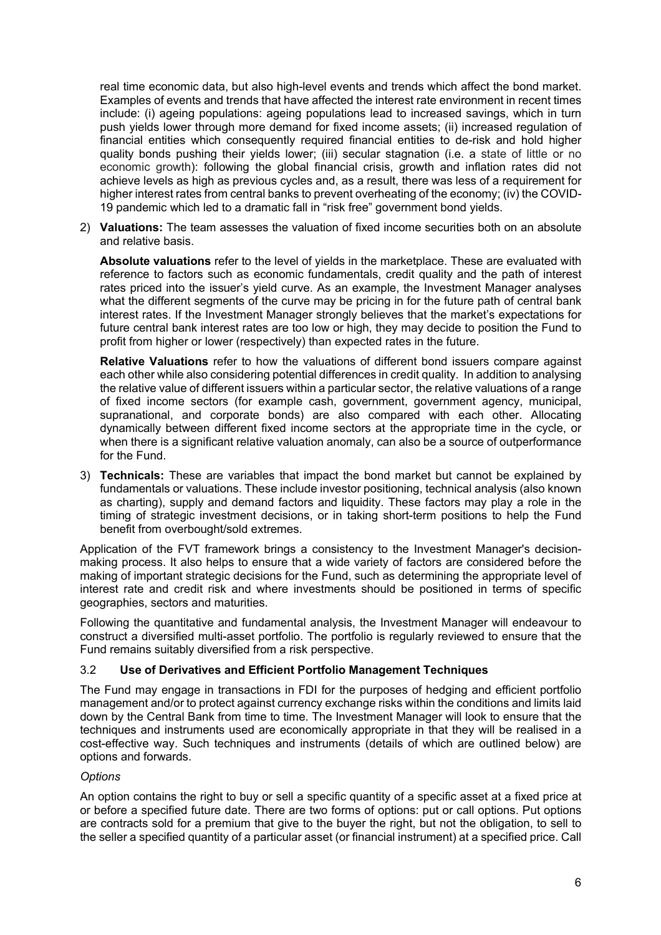real time economic data, but also high-level events and trends which affect the bond market. Examples of events and trends that have affected the interest rate environment in recent times include: (i) ageing populations: ageing populations lead to increased savings, which in turn push yields lower through more demand for fixed income assets; (ii) increased regulation of financial entities which consequently required financial entities to de-risk and hold higher quality bonds pushing their yields lower; (iii) secular stagnation (i.e. a state of little or no economic growth): following the global financial crisis, growth and inflation rates did not achieve levels as high as previous cycles and, as a result, there was less of a requirement for higher interest rates from central banks to prevent overheating of the economy; (iv) the COVID-19 pandemic which led to a dramatic fall in "risk free" government bond yields.

2) **Valuations:** The team assesses the valuation of fixed income securities both on an absolute and relative basis.

**Absolute valuations** refer to the level of yields in the marketplace. These are evaluated with reference to factors such as economic fundamentals, credit quality and the path of interest rates priced into the issuer's yield curve. As an example, the Investment Manager analyses what the different segments of the curve may be pricing in for the future path of central bank interest rates. If the Investment Manager strongly believes that the market's expectations for future central bank interest rates are too low or high, they may decide to position the Fund to profit from higher or lower (respectively) than expected rates in the future.

**Relative Valuations** refer to how the valuations of different bond issuers compare against each other while also considering potential differences in credit quality. In addition to analysing the relative value of different issuers within a particular sector, the relative valuations of a range of fixed income sectors (for example cash, government, government agency, municipal, supranational, and corporate bonds) are also compared with each other. Allocating dynamically between different fixed income sectors at the appropriate time in the cycle, or when there is a significant relative valuation anomaly, can also be a source of outperformance for the Fund.

3) **Technicals:** These are variables that impact the bond market but cannot be explained by fundamentals or valuations. These include investor positioning, technical analysis (also known as charting), supply and demand factors and liquidity. These factors may play a role in the timing of strategic investment decisions, or in taking short-term positions to help the Fund benefit from overbought/sold extremes.

Application of the FVT framework brings a consistency to the Investment Manager's decisionmaking process. It also helps to ensure that a wide variety of factors are considered before the making of important strategic decisions for the Fund, such as determining the appropriate level of interest rate and credit risk and where investments should be positioned in terms of specific geographies, sectors and maturities.

Following the quantitative and fundamental analysis, the Investment Manager will endeavour to construct a diversified multi-asset portfolio. The portfolio is regularly reviewed to ensure that the Fund remains suitably diversified from a risk perspective.

# 3.2 **Use of Derivatives and Efficient Portfolio Management Techniques**

The Fund may engage in transactions in FDI for the purposes of hedging and efficient portfolio management and/or to protect against currency exchange risks within the conditions and limits laid down by the Central Bank from time to time. The Investment Manager will look to ensure that the techniques and instruments used are economically appropriate in that they will be realised in a cost-effective way. Such techniques and instruments (details of which are outlined below) are options and forwards.

### *Options*

An option contains the right to buy or sell a specific quantity of a specific asset at a fixed price at or before a specified future date. There are two forms of options: put or call options. Put options are contracts sold for a premium that give to the buyer the right, but not the obligation, to sell to the seller a specified quantity of a particular asset (or financial instrument) at a specified price. Call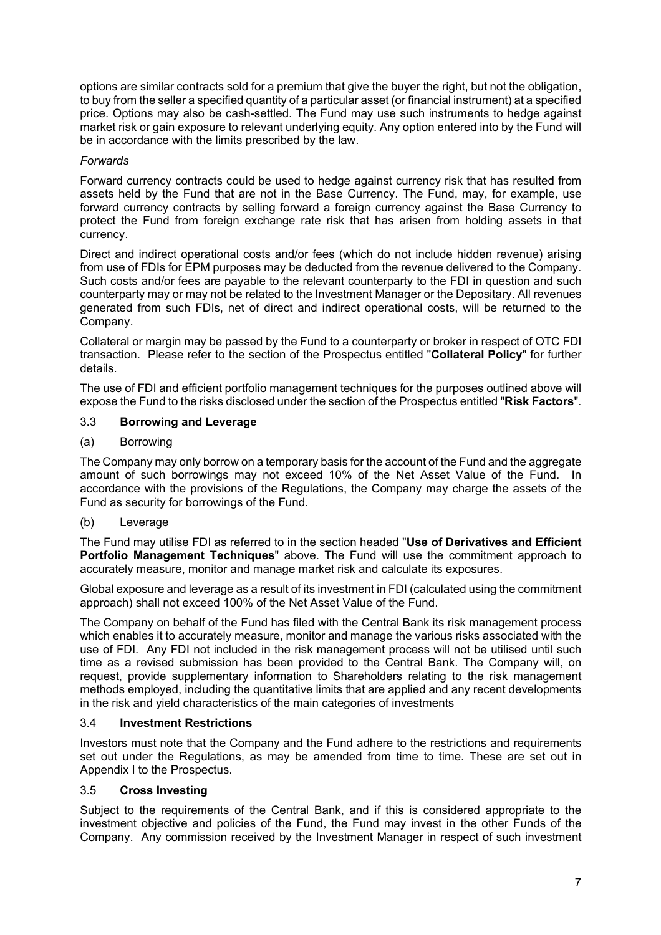options are similar contracts sold for a premium that give the buyer the right, but not the obligation, to buy from the seller a specified quantity of a particular asset (or financial instrument) at a specified price. Options may also be cash-settled. The Fund may use such instruments to hedge against market risk or gain exposure to relevant underlying equity. Any option entered into by the Fund will be in accordance with the limits prescribed by the law.

## *Forwards*

Forward currency contracts could be used to hedge against currency risk that has resulted from assets held by the Fund that are not in the Base Currency. The Fund, may, for example, use forward currency contracts by selling forward a foreign currency against the Base Currency to protect the Fund from foreign exchange rate risk that has arisen from holding assets in that currency.

Direct and indirect operational costs and/or fees (which do not include hidden revenue) arising from use of FDIs for EPM purposes may be deducted from the revenue delivered to the Company. Such costs and/or fees are payable to the relevant counterparty to the FDI in question and such counterparty may or may not be related to the Investment Manager or the Depositary. All revenues generated from such FDIs, net of direct and indirect operational costs, will be returned to the Company.

Collateral or margin may be passed by the Fund to a counterparty or broker in respect of OTC FDI transaction. Please refer to the section of the Prospectus entitled "**Collateral Policy**" for further details.

The use of FDI and efficient portfolio management techniques for the purposes outlined above will expose the Fund to the risks disclosed under the section of the Prospectus entitled "**Risk Factors**".

## 3.3 **Borrowing and Leverage**

(a) Borrowing

The Company may only borrow on a temporary basis for the account of the Fund and the aggregate amount of such borrowings may not exceed 10% of the Net Asset Value of the Fund. In accordance with the provisions of the Regulations, the Company may charge the assets of the Fund as security for borrowings of the Fund.

(b) Leverage

The Fund may utilise FDI as referred to in the section headed "**Use of Derivatives and Efficient Portfolio Management Techniques**" above. The Fund will use the commitment approach to accurately measure, monitor and manage market risk and calculate its exposures.

Global exposure and leverage as a result of its investment in FDI (calculated using the commitment approach) shall not exceed 100% of the Net Asset Value of the Fund.

The Company on behalf of the Fund has filed with the Central Bank its risk management process which enables it to accurately measure, monitor and manage the various risks associated with the use of FDI. Any FDI not included in the risk management process will not be utilised until such time as a revised submission has been provided to the Central Bank. The Company will, on request, provide supplementary information to Shareholders relating to the risk management methods employed, including the quantitative limits that are applied and any recent developments in the risk and yield characteristics of the main categories of investments

### 3.4 **Investment Restrictions**

Investors must note that the Company and the Fund adhere to the restrictions and requirements set out under the Regulations, as may be amended from time to time. These are set out in Appendix I to the Prospectus.

### 3.5 **Cross Investing**

Subject to the requirements of the Central Bank, and if this is considered appropriate to the investment objective and policies of the Fund, the Fund may invest in the other Funds of the Company. Any commission received by the Investment Manager in respect of such investment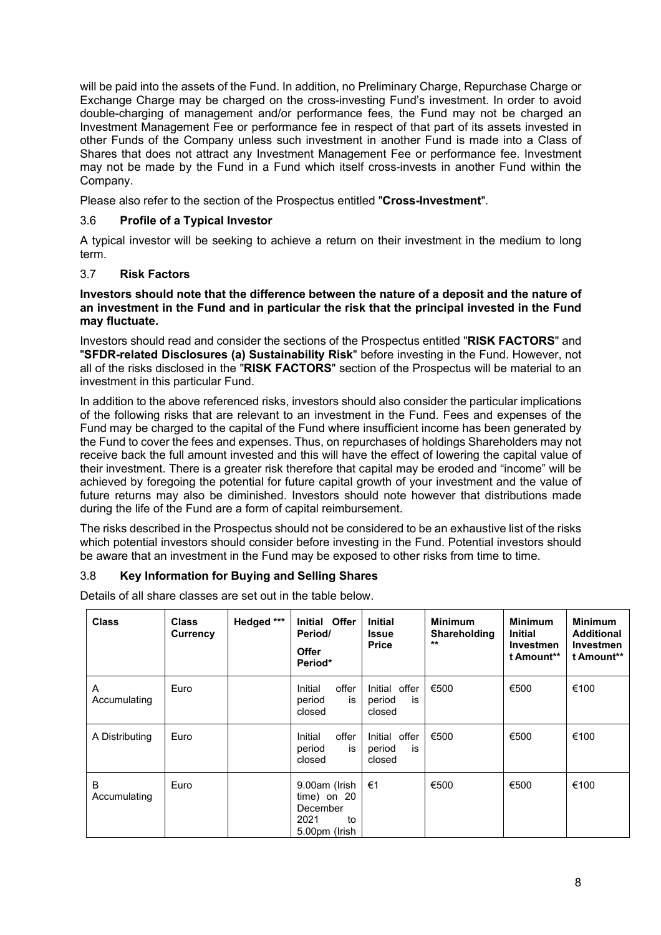will be paid into the assets of the Fund. In addition, no Preliminary Charge, Repurchase Charge or Exchange Charge may be charged on the cross-investing Fund's investment. In order to avoid double-charging of management and/or performance fees, the Fund may not be charged an Investment Management Fee or performance fee in respect of that part of its assets invested in other Funds of the Company unless such investment in another Fund is made into a Class of Shares that does not attract any Investment Management Fee or performance fee. Investment may not be made by the Fund in a Fund which itself cross-invests in another Fund within the Company.

Please also refer to the section of the Prospectus entitled "**Cross-Investment**".

# 3.6 **Profile of a Typical Investor**

A typical investor will be seeking to achieve a return on their investment in the medium to long term.

## 3.7 **Risk Factors**

### **Investors should note that the difference between the nature of a deposit and the nature of an investment in the Fund and in particular the risk that the principal invested in the Fund may fluctuate.**

Investors should read and consider the sections of the Prospectus entitled "**RISK FACTORS**" and "**SFDR-related Disclosures (a) Sustainability Risk**" before investing in the Fund. However, not all of the risks disclosed in the "**RISK FACTORS**" section of the Prospectus will be material to an investment in this particular Fund.

In addition to the above referenced risks, investors should also consider the particular implications of the following risks that are relevant to an investment in the Fund. Fees and expenses of the Fund may be charged to the capital of the Fund where insufficient income has been generated by the Fund to cover the fees and expenses. Thus, on repurchases of holdings Shareholders may not receive back the full amount invested and this will have the effect of lowering the capital value of their investment. There is a greater risk therefore that capital may be eroded and "income" will be achieved by foregoing the potential for future capital growth of your investment and the value of future returns may also be diminished. Investors should note however that distributions made during the life of the Fund are a form of capital reimbursement.

The risks described in the Prospectus should not be considered to be an exhaustive list of the risks which potential investors should consider before investing in the Fund. Potential investors should be aware that an investment in the Fund may be exposed to other risks from time to time.

# 3.8 **Key Information for Buying and Selling Shares**

Details of all share classes are set out in the table below.

| Class             | <b>Class</b><br>Currency | Hedged *** | Initial Offer<br>Period/<br><b>Offer</b><br>Period*                       | <b>Initial</b><br><b>Issue</b><br><b>Price</b> | <b>Minimum</b><br>Shareholding<br>$**$ | <b>Minimum</b><br><b>Initial</b><br><b>Investmen</b><br>t Amount** | <b>Minimum</b><br><b>Additional</b><br>Investmen<br>t Amount** |
|-------------------|--------------------------|------------|---------------------------------------------------------------------------|------------------------------------------------|----------------------------------------|--------------------------------------------------------------------|----------------------------------------------------------------|
| A<br>Accumulating | Euro                     |            | offer<br>Initial<br>period<br>is<br>closed                                | Initial offer<br>period<br>İS<br>closed        | €500                                   | €500                                                               | €100                                                           |
| A Distributing    | Euro                     |            | offer<br>Initial<br>period<br>is<br>closed                                | Initial offer<br>period<br>is<br>closed        | €500                                   | €500                                                               | €100                                                           |
| B<br>Accumulating | Euro                     |            | 9.00am (Irish<br>$time)$ on 20<br>December<br>2021<br>to<br>5.00pm (Irish | €1                                             | €500                                   | €500                                                               | €100                                                           |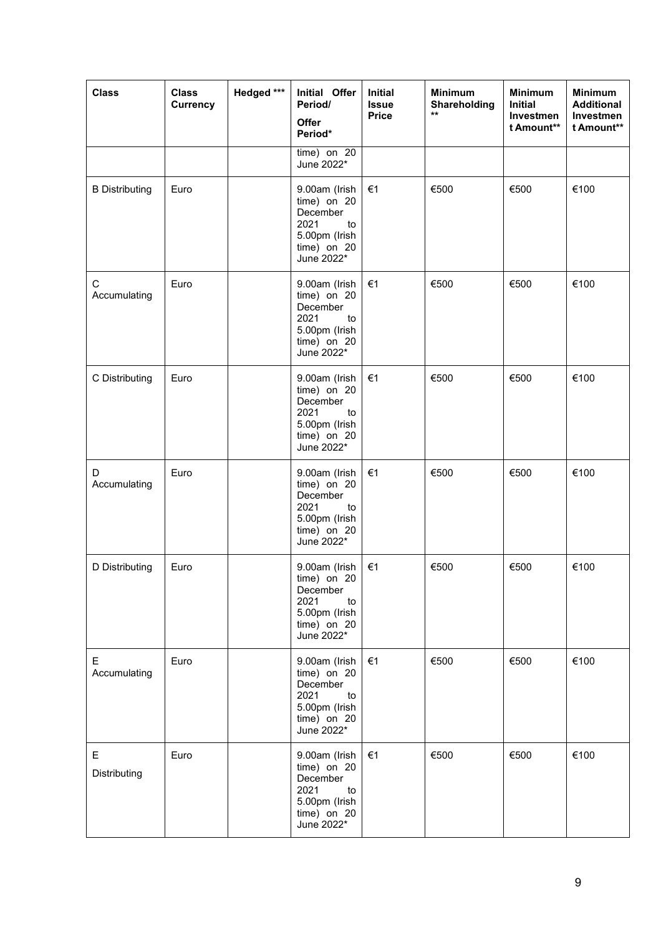| <b>Class</b>          | <b>Class</b><br>Currency | Hedged *** | Initial Offer<br>Period/<br>Offer<br>Period*                                                           | <b>Initial</b><br><b>Issue</b><br><b>Price</b> | <b>Minimum</b><br>Shareholding<br>$\star\star$ | <b>Minimum</b><br><b>Initial</b><br>Investmen<br>t Amount** | <b>Minimum</b><br><b>Additional</b><br>Investmen<br>t Amount** |
|-----------------------|--------------------------|------------|--------------------------------------------------------------------------------------------------------|------------------------------------------------|------------------------------------------------|-------------------------------------------------------------|----------------------------------------------------------------|
|                       |                          |            | time) on 20<br>June 2022*                                                                              |                                                |                                                |                                                             |                                                                |
| <b>B</b> Distributing | Euro                     |            | 9.00am (Irish<br>time) on 20<br>December<br>2021<br>to<br>5.00pm (Irish<br>$time)$ on 20<br>June 2022* | €1                                             | €500                                           | €500                                                        | €100                                                           |
| С<br>Accumulating     | Euro                     |            | 9.00am (Irish<br>time) on 20<br>December<br>2021<br>to<br>5.00pm (Irish<br>time) on 20<br>June 2022*   | €1                                             | €500                                           | €500                                                        | €100                                                           |
| C Distributing        | Euro                     |            | 9.00am (Irish<br>time) on 20<br>December<br>2021<br>to<br>5.00pm (Irish<br>time) on 20<br>June 2022*   | €1                                             | €500                                           | €500                                                        | €100                                                           |
| D<br>Accumulating     | Euro                     |            | 9.00am (Irish<br>time) on 20<br>December<br>2021<br>to<br>5.00pm (Irish<br>time) on 20<br>June 2022*   | €1                                             | €500                                           | €500                                                        | €100                                                           |
| D Distributing        | Euro                     |            | 9.00am (Irish<br>$time)$ on 20<br>December<br>2021<br>to<br>5.00pm (Irish<br>time) on 20<br>June 2022* | €1                                             | €500                                           | €500                                                        | €100                                                           |
| E.<br>Accumulating    | Euro                     |            | 9.00am (Irish<br>time) on 20<br>December<br>2021<br>to<br>5.00pm (Irish<br>$time)$ on 20<br>June 2022* | €1                                             | €500                                           | €500                                                        | €100                                                           |
| Е<br>Distributing     | Euro                     |            | 9.00am (Irish<br>time) on 20<br>December<br>2021<br>to<br>5.00pm (Irish<br>time) on 20<br>June 2022*   | €1                                             | €500                                           | €500                                                        | €100                                                           |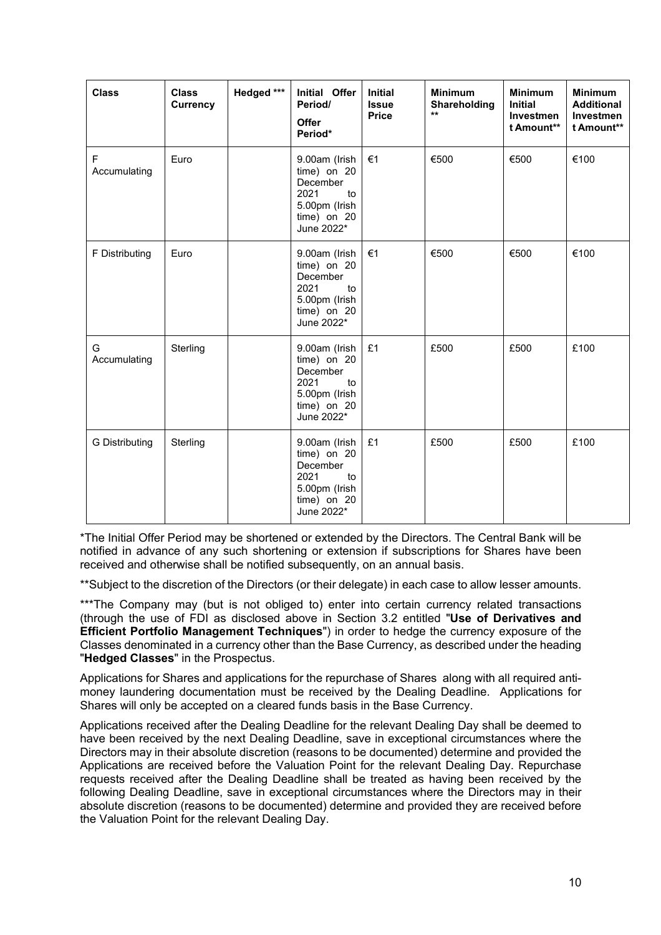| <b>Class</b>      | <b>Class</b><br><b>Currency</b> | Hedged *** | Initial Offer<br>Period/<br><b>Offer</b><br>Period*                                                  | <b>Initial</b><br><b>Issue</b><br><b>Price</b> | <b>Minimum</b><br>Shareholding<br>$***$ | <b>Minimum</b><br><b>Initial</b><br><b>Investmen</b><br>t Amount** | <b>Minimum</b><br><b>Additional</b><br><b>Investmen</b><br>t Amount** |
|-------------------|---------------------------------|------------|------------------------------------------------------------------------------------------------------|------------------------------------------------|-----------------------------------------|--------------------------------------------------------------------|-----------------------------------------------------------------------|
| F<br>Accumulating | Euro                            |            | 9.00am (Irish<br>time) on 20<br>December<br>2021<br>to<br>5.00pm (Irish<br>time) on 20<br>June 2022* | €1                                             | €500                                    | €500                                                               | €100                                                                  |
| F Distributing    | Euro                            |            | 9.00am (Irish<br>time) on 20<br>December<br>2021<br>to<br>5.00pm (Irish<br>time) on 20<br>June 2022* | €1                                             | €500                                    | €500                                                               | €100                                                                  |
| G<br>Accumulating | Sterling                        |            | 9.00am (Irish<br>time) on 20<br>December<br>2021<br>to<br>5.00pm (Irish<br>time) on 20<br>June 2022* | £1                                             | £500                                    | £500                                                               | £100                                                                  |
| G Distributing    | Sterling                        |            | 9.00am (Irish<br>time) on 20<br>December<br>2021<br>to<br>5.00pm (Irish<br>time) on 20<br>June 2022* | £1                                             | £500                                    | £500                                                               | £100                                                                  |

\*The Initial Offer Period may be shortened or extended by the Directors. The Central Bank will be notified in advance of any such shortening or extension if subscriptions for Shares have been received and otherwise shall be notified subsequently, on an annual basis.

\*\*Subject to the discretion of the Directors (or their delegate) in each case to allow lesser amounts.

\*\*\*The Company may (but is not obliged to) enter into certain currency related transactions (through the use of FDI as disclosed above in Section 3.2 entitled "**Use of Derivatives and Efficient Portfolio Management Techniques**") in order to hedge the currency exposure of the Classes denominated in a currency other than the Base Currency, as described under the heading "**Hedged Classes**" in the Prospectus.

Applications for Shares and applications for the repurchase of Shares along with all required antimoney laundering documentation must be received by the Dealing Deadline. Applications for Shares will only be accepted on a cleared funds basis in the Base Currency.

Applications received after the Dealing Deadline for the relevant Dealing Day shall be deemed to have been received by the next Dealing Deadline, save in exceptional circumstances where the Directors may in their absolute discretion (reasons to be documented) determine and provided the Applications are received before the Valuation Point for the relevant Dealing Day. Repurchase requests received after the Dealing Deadline shall be treated as having been received by the following Dealing Deadline, save in exceptional circumstances where the Directors may in their absolute discretion (reasons to be documented) determine and provided they are received before the Valuation Point for the relevant Dealing Day.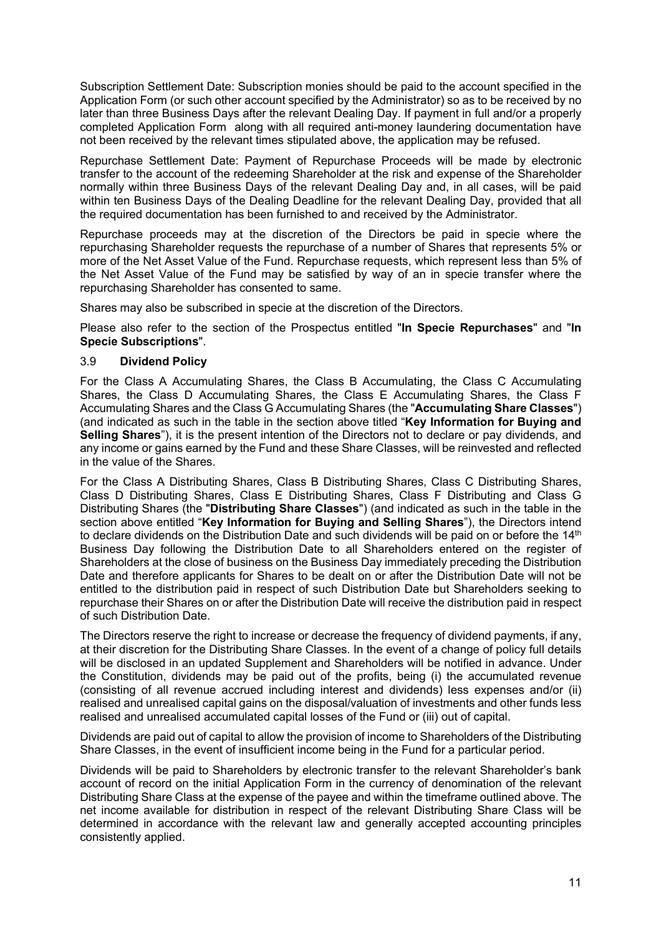Subscription Settlement Date: Subscription monies should be paid to the account specified in the Application Form (or such other account specified by the Administrator) so as to be received by no later than three Business Days after the relevant Dealing Day. If payment in full and/or a properly completed Application Form along with all required anti-money laundering documentation have not been received by the relevant times stipulated above, the application may be refused.

Repurchase Settlement Date: Payment of Repurchase Proceeds will be made by electronic transfer to the account of the redeeming Shareholder at the risk and expense of the Shareholder normally within three Business Days of the relevant Dealing Day and, in all cases, will be paid within ten Business Days of the Dealing Deadline for the relevant Dealing Day, provided that all the required documentation has been furnished to and received by the Administrator.

Repurchase proceeds may at the discretion of the Directors be paid in specie where the repurchasing Shareholder requests the repurchase of a number of Shares that represents 5% or more of the Net Asset Value of the Fund. Repurchase requests, which represent less than 5% of the Net Asset Value of the Fund may be satisfied by way of an in specie transfer where the repurchasing Shareholder has consented to same.

Shares may also be subscribed in specie at the discretion of the Directors.

Please also refer to the section of the Prospectus entitled "**In Specie Repurchases**" and "**In Specie Subscriptions**".

### 3.9 **Dividend Policy**

For the Class A Accumulating Shares, the Class B Accumulating, the Class C Accumulating Shares, the Class D Accumulating Shares, the Class E Accumulating Shares, the Class F Accumulating Shares and the Class G Accumulating Shares (the "**Accumulating Share Classes**") (and indicated as such in the table in the section above titled "**Key Information for Buying and Selling Shares**"), it is the present intention of the Directors not to declare or pay dividends, and any income or gains earned by the Fund and these Share Classes, will be reinvested and reflected in the value of the Shares.

For the Class A Distributing Shares, Class B Distributing Shares, Class C Distributing Shares, Class D Distributing Shares, Class E Distributing Shares, Class F Distributing and Class G Distributing Shares (the "**Distributing Share Classes**") (and indicated as such in the table in the section above entitled "**Key Information for Buying and Selling Shares**"), the Directors intend to declare dividends on the Distribution Date and such dividends will be paid on or before the 14<sup>th</sup> Business Day following the Distribution Date to all Shareholders entered on the register of Shareholders at the close of business on the Business Day immediately preceding the Distribution Date and therefore applicants for Shares to be dealt on or after the Distribution Date will not be entitled to the distribution paid in respect of such Distribution Date but Shareholders seeking to repurchase their Shares on or after the Distribution Date will receive the distribution paid in respect of such Distribution Date.

The Directors reserve the right to increase or decrease the frequency of dividend payments, if any, at their discretion for the Distributing Share Classes. In the event of a change of policy full details will be disclosed in an updated Supplement and Shareholders will be notified in advance. Under the Constitution, dividends may be paid out of the profits, being (i) the accumulated revenue (consisting of all revenue accrued including interest and dividends) less expenses and/or (ii) realised and unrealised capital gains on the disposal/valuation of investments and other funds less realised and unrealised accumulated capital losses of the Fund or (iii) out of capital.

Dividends are paid out of capital to allow the provision of income to Shareholders of the Distributing Share Classes, in the event of insufficient income being in the Fund for a particular period.

Dividends will be paid to Shareholders by electronic transfer to the relevant Shareholder's bank account of record on the initial Application Form in the currency of denomination of the relevant Distributing Share Class at the expense of the payee and within the timeframe outlined above. The net income available for distribution in respect of the relevant Distributing Share Class will be determined in accordance with the relevant law and generally accepted accounting principles consistently applied.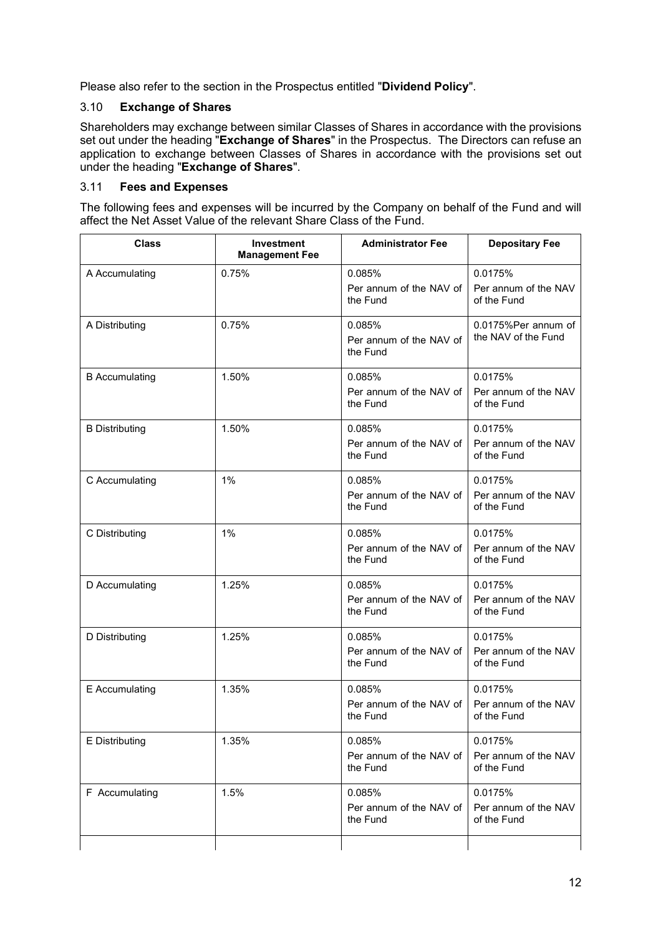Please also refer to the section in the Prospectus entitled "**Dividend Policy**".

# 3.10 **Exchange of Shares**

Shareholders may exchange between similar Classes of Shares in accordance with the provisions set out under the heading "**Exchange of Shares**" in the Prospectus. The Directors can refuse an application to exchange between Classes of Shares in accordance with the provisions set out under the heading "**Exchange of Shares**".

# 3.11 **Fees and Expenses**

The following fees and expenses will be incurred by the Company on behalf of the Fund and will affect the Net Asset Value of the relevant Share Class of the Fund.

| <b>Class</b>          | <b>Investment</b><br><b>Management Fee</b> | <b>Administrator Fee</b>                      | <b>Depositary Fee</b>                          |  |
|-----------------------|--------------------------------------------|-----------------------------------------------|------------------------------------------------|--|
| A Accumulating        | 0.75%                                      | 0.085%                                        | 0.0175%                                        |  |
|                       |                                            | Per annum of the NAV of<br>the Fund           | Per annum of the NAV<br>of the Fund            |  |
| A Distributing        | 0.75%                                      | 0.085%<br>Per annum of the NAV of<br>the Fund | 0.0175%Per annum of<br>the NAV of the Fund     |  |
| <b>B</b> Accumulating | 1.50%                                      | 0.085%<br>Per annum of the NAV of<br>the Fund | 0.0175%<br>Per annum of the NAV<br>of the Fund |  |
| <b>B</b> Distributing | 1.50%                                      | 0.085%<br>Per annum of the NAV of<br>the Fund | 0.0175%<br>Per annum of the NAV<br>of the Fund |  |
| C Accumulating        | 1%                                         | 0.085%<br>Per annum of the NAV of<br>the Fund | 0.0175%<br>Per annum of the NAV<br>of the Fund |  |
| C Distributing        | 1%                                         | 0.085%<br>Per annum of the NAV of<br>the Fund | 0.0175%<br>Per annum of the NAV<br>of the Fund |  |
| D Accumulating        | 1.25%                                      | 0.085%<br>Per annum of the NAV of<br>the Fund | 0.0175%<br>Per annum of the NAV<br>of the Fund |  |
| D Distributing        | 1.25%                                      | 0.085%<br>Per annum of the NAV of<br>the Fund | 0.0175%<br>Per annum of the NAV<br>of the Fund |  |
| E Accumulating        | 1.35%                                      | 0.085%<br>Per annum of the NAV of<br>the Fund | 0.0175%<br>Per annum of the NAV<br>of the Fund |  |
| E Distributing        | 1.35%                                      | 0.085%<br>Per annum of the NAV of<br>the Fund | 0.0175%<br>Per annum of the NAV<br>of the Fund |  |
| F Accumulating        | 1.5%                                       | 0.085%<br>Per annum of the NAV of<br>the Fund | 0.0175%<br>Per annum of the NAV<br>of the Fund |  |
|                       |                                            |                                               |                                                |  |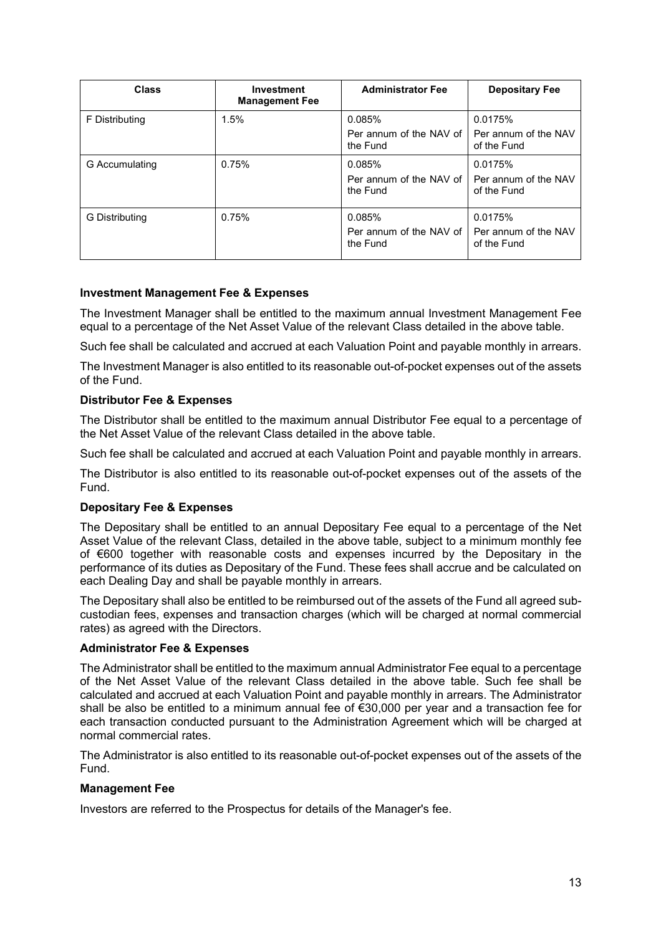| <b>Class</b>   | <b>Investment</b><br><b>Management Fee</b> | <b>Administrator Fee</b>              | <b>Depositary Fee</b>               |
|----------------|--------------------------------------------|---------------------------------------|-------------------------------------|
| F Distributing | 1.5%                                       | 0.085%                                | 0.0175%                             |
|                |                                            | Per annum of the NAV of<br>the Fund   | Per annum of the NAV<br>of the Fund |
| G Accumulating | 0.75%                                      | 0.085%                                | 0.0175%                             |
|                |                                            | Per annum of the NAV of<br>the Fund   | Per annum of the NAV<br>of the Fund |
| G Distributing | 0.75%                                      | 0.085%                                | 0.0175%                             |
|                |                                            | Per annum of the NAV of I<br>the Fund | Per annum of the NAV<br>of the Fund |

## **Investment Management Fee & Expenses**

The Investment Manager shall be entitled to the maximum annual Investment Management Fee equal to a percentage of the Net Asset Value of the relevant Class detailed in the above table.

Such fee shall be calculated and accrued at each Valuation Point and payable monthly in arrears.

The Investment Manager is also entitled to its reasonable out-of-pocket expenses out of the assets of the Fund.

## **Distributor Fee & Expenses**

The Distributor shall be entitled to the maximum annual Distributor Fee equal to a percentage of the Net Asset Value of the relevant Class detailed in the above table.

Such fee shall be calculated and accrued at each Valuation Point and payable monthly in arrears.

The Distributor is also entitled to its reasonable out-of-pocket expenses out of the assets of the Fund.

### **Depositary Fee & Expenses**

The Depositary shall be entitled to an annual Depositary Fee equal to a percentage of the Net Asset Value of the relevant Class, detailed in the above table, subject to a minimum monthly fee of €600 together with reasonable costs and expenses incurred by the Depositary in the performance of its duties as Depositary of the Fund. These fees shall accrue and be calculated on each Dealing Day and shall be payable monthly in arrears.

The Depositary shall also be entitled to be reimbursed out of the assets of the Fund all agreed subcustodian fees, expenses and transaction charges (which will be charged at normal commercial rates) as agreed with the Directors.

### **Administrator Fee & Expenses**

The Administrator shall be entitled to the maximum annual Administrator Fee equal to a percentage of the Net Asset Value of the relevant Class detailed in the above table. Such fee shall be calculated and accrued at each Valuation Point and payable monthly in arrears. The Administrator shall be also be entitled to a minimum annual fee of €30,000 per year and a transaction fee for each transaction conducted pursuant to the Administration Agreement which will be charged at normal commercial rates.

The Administrator is also entitled to its reasonable out-of-pocket expenses out of the assets of the Fund.

### **Management Fee**

Investors are referred to the Prospectus for details of the Manager's fee.